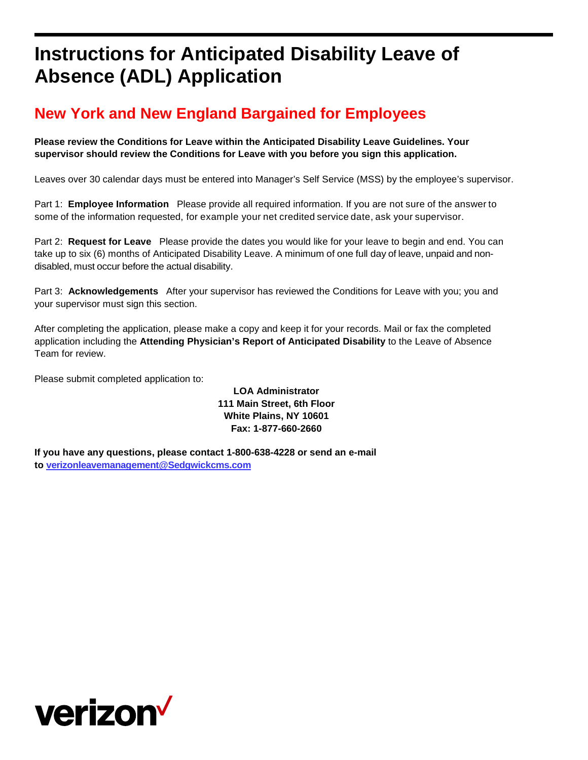### **Instructions for Anticipated Disability Leave of Absence (ADL) Application**

### **New York and New England Bargained for Employees**

**Please review the Conditions for Leave within the Anticipated Disability Leave Guidelines. Your supervisor should review the Conditions for Leave with you before you sign this application.**

Leaves over 30 calendar days must be entered into Manager's Self Service (MSS) by the employee's supervisor.

Part 1: **Employee Information** Please provide all required information. If you are not sure of the answer to some of the information requested, for example your net credited service date, ask your supervisor.

Part 2: **Request for Leave** Please provide the dates you would like for your leave to begin and end. You can take up to six (6) months of Anticipated Disability Leave. A minimum of one full day of leave, unpaid and nondisabled, must occur before the actual disability.

Part 3: **Acknowledgements** After your supervisor has reviewed the Conditions for Leave with you; you and your supervisor must sign this section.

After completing the application, please make a copy and keep it for your records. Mail or fax the completed application including the **Attending Physician's Report of Anticipated Disability** to the Leave of Absence Team for review.

Please submit completed application to:

**LOA Administrator 111 Main Street, 6th Floor White Plains, NY 10601 Fax: 1-877-660-2660**

**If you have any questions, please contact 1-800-638-4228 or send an e-mail to [verizonleavemanagement@Sedgwickcms.com](mailto:verizonleavemanagement@metlifeservice.com)**

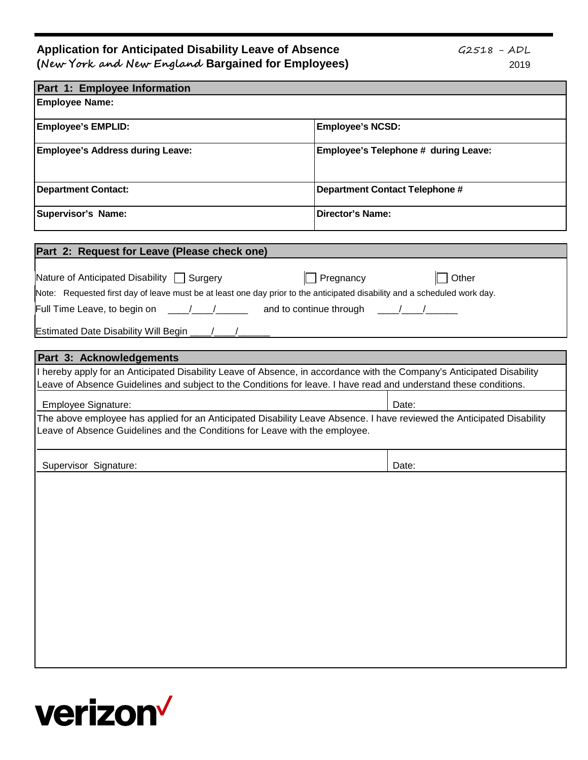#### **Application for Anticipated Disability Leave of Absence (New York and New England Bargained for Employees)**

| <b>Part 1: Employee Information</b>                                                                                       |                         |                                       |
|---------------------------------------------------------------------------------------------------------------------------|-------------------------|---------------------------------------|
| <b>Employee Name:</b>                                                                                                     |                         |                                       |
|                                                                                                                           |                         |                                       |
| <b>Employee's EMPLID:</b>                                                                                                 | <b>Employee's NCSD:</b> |                                       |
| <b>Employee's Address during Leave:</b>                                                                                   |                         | Employee's Telephone # during Leave:  |
|                                                                                                                           |                         |                                       |
|                                                                                                                           |                         |                                       |
| <b>Department Contact:</b>                                                                                                |                         | <b>Department Contact Telephone #</b> |
|                                                                                                                           |                         |                                       |
| <b>Supervisor's Name:</b>                                                                                                 | <b>Director's Name:</b> |                                       |
|                                                                                                                           |                         |                                       |
| Part 2: Request for Leave (Please check one)                                                                              |                         |                                       |
|                                                                                                                           |                         |                                       |
| Nature of Anticipated Disability Surgery                                                                                  | $\Box$ Pregnancy        | Other                                 |
| Note: Requested first day of leave must be at least one day prior to the anticipated disability and a scheduled work day. |                         |                                       |
| Full Time Leave, to begin on<br>$\overline{1}$                                                                            |                         |                                       |
|                                                                                                                           |                         |                                       |
| <b>Estimated Date Disability Will Begin</b>                                                                               |                         |                                       |
|                                                                                                                           |                         |                                       |
| Part 3: Acknowledgements                                                                                                  |                         |                                       |
| I hereby apply for an Anticipated Disability Leave of Absence, in accordance with the Company's Anticipated Disability    |                         |                                       |
| Leave of Absence Guidelines and subject to the Conditions for leave. I have read and understand these conditions.         |                         |                                       |
| <b>Employee Signature:</b>                                                                                                |                         | Date:                                 |
| The above employee has applied for an Anticipated Disability Leave Absence. I have reviewed the Anticipated Disability    |                         |                                       |
| Leave of Absence Guidelines and the Conditions for Leave with the employee.                                               |                         |                                       |
|                                                                                                                           |                         |                                       |
|                                                                                                                           |                         |                                       |
| Supervisor Signature:                                                                                                     |                         | Date:                                 |
|                                                                                                                           |                         |                                       |
|                                                                                                                           |                         |                                       |
|                                                                                                                           |                         |                                       |
|                                                                                                                           |                         |                                       |
|                                                                                                                           |                         |                                       |
|                                                                                                                           |                         |                                       |
|                                                                                                                           |                         |                                       |
|                                                                                                                           |                         |                                       |
|                                                                                                                           |                         |                                       |
|                                                                                                                           |                         |                                       |
|                                                                                                                           |                         |                                       |
|                                                                                                                           |                         |                                       |
|                                                                                                                           |                         |                                       |
|                                                                                                                           |                         |                                       |

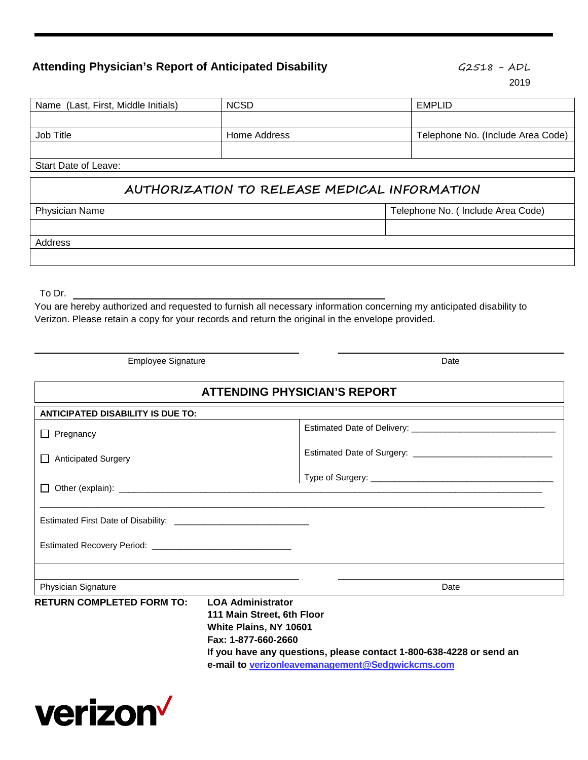#### Attending Physician's Report of Anticipated Disability **GALL AND ACASES** - ADL

2019

| Name (Last, First, Middle Initials) | <b>NCSD</b>  | EMPLID                            |
|-------------------------------------|--------------|-----------------------------------|
|                                     |              |                                   |
| Job Title                           | Home Address | Telephone No. (Include Area Code) |
|                                     |              |                                   |
| Start Data of Logyon                |              |                                   |

Start Date of Leave:

#### **AUTHORIZATION TO RELEASE MEDICAL INFORMATION**

Physician Name **Telephone No.** (Include Area Code)

Address

To Dr.

You are hereby authorized and requested to furnish all necessary information concerning my anticipated disability to Verizon. Please retain a copy for your records and return the original in the envelope provided.

Employee Signature **Date** 

| <b>ATTENDING PHYSICIAN'S REPORT</b>      |                                                                                                                                                                                                                                    |  |
|------------------------------------------|------------------------------------------------------------------------------------------------------------------------------------------------------------------------------------------------------------------------------------|--|
| <b>ANTICIPATED DISABILITY IS DUE TO:</b> |                                                                                                                                                                                                                                    |  |
| $\Box$ Pregnancy                         |                                                                                                                                                                                                                                    |  |
| Anticipated Surgery                      |                                                                                                                                                                                                                                    |  |
|                                          |                                                                                                                                                                                                                                    |  |
|                                          |                                                                                                                                                                                                                                    |  |
| Physician Signature                      | Date                                                                                                                                                                                                                               |  |
| <b>RETURN COMPLETED FORM TO:</b>         | <b>LOA Administrator</b><br>111 Main Street, 6th Floor<br>White Plains, NY 10601<br>Fax: 1-877-660-2660<br>If you have any questions, please contact 1-800-638-4228 or send an<br>e-mail to verizonleavemanagement@Sedgwickcms.com |  |